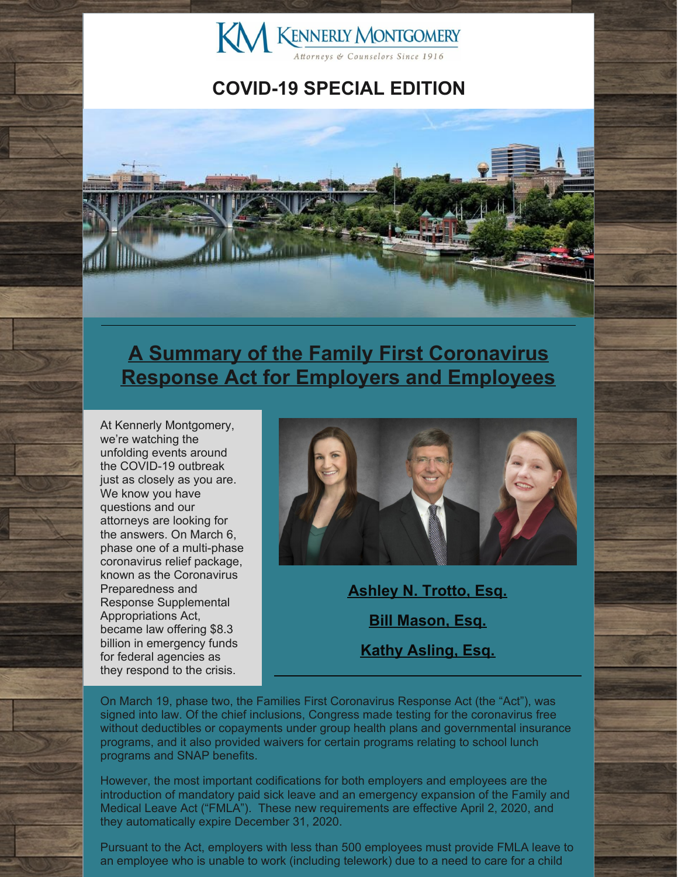

## **COVID-19 SPECIAL EDITION**



## **A Summary of the Family First Coronavirus Response Act for Employers and Employees**

At Kennerly Montgomery, we're watching the unfolding events around the COVID-19 outbreak just as closely as you are. We know you have questions and our attorneys are looking for the answers. On March 6, phase one of a multi-phase coronavirus relief package, known as the Coronavirus Preparedness and Response Supplemental Appropriations Act, became law offering \$8.3 billion in emergency funds for federal agencies as they respond to the crisis.



**[Ashley](http://www.kmfpc.com/attorneys/ashley_n_trotto.aspx) N. Trotto, Esq. Bill [Mason,](http://www.kmfpc.com/attorneys/bill_mason.aspx) Esq. Kathy [Asling,](http://www.kmfpc.com/attorneys/kathy_d_aslinger.aspx) Esq.**

On March 19, phase two, the Families First Coronavirus Response Act (the "Act"), was signed into law. Of the chief inclusions, Congress made testing for the coronavirus free without deductibles or copayments under group health plans and governmental insurance programs, and it also provided waivers for certain programs relating to school lunch programs and SNAP benefits.

However, the most important codifications for both employers and employees are the introduction of mandatory paid sick leave and an emergency expansion of the Family and Medical Leave Act ("FMLA"). These new requirements are effective April 2, 2020, and they automatically expire December 31, 2020.

Pursuant to the Act, employers with less than 500 employees must provide FMLA leave to an employee who is unable to work (including telework) due to a need to care for a child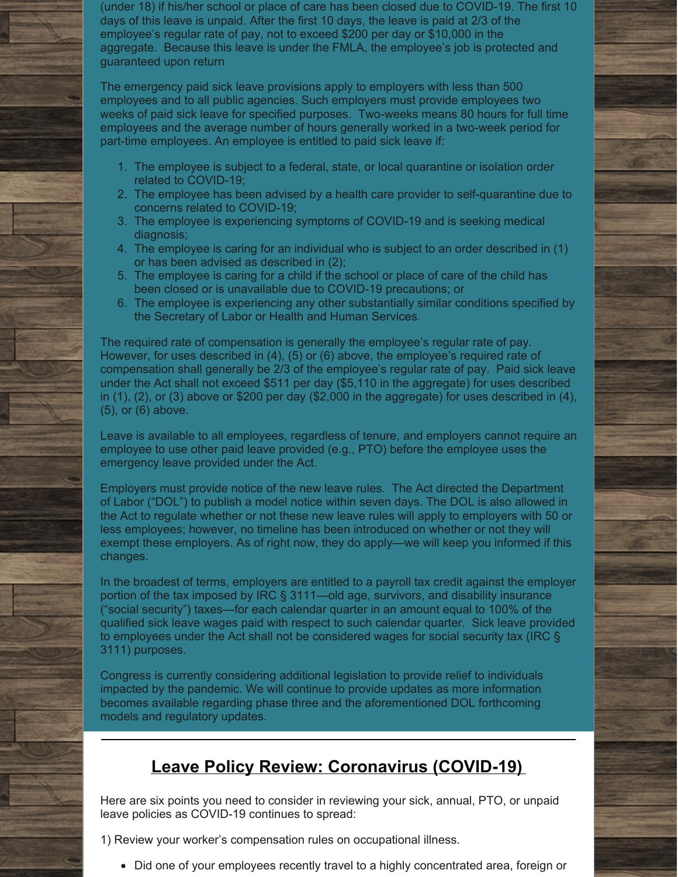(under 18) if his/her school or place of care has been closed due to COVID-19. The first 10 days of this leave is unpaid. After the first 10 days, the leave is paid at 2/3 of the employee's regular rate of pay, not to exceed \$200 per day or \$10,000 in the aggregate. Because this leave is under the FMLA, the employee's job is protected and guaranteed upon return

The emergency paid sick leave provisions apply to employers with less than 500 employees and to all public agencies. Such employers must provide employees two weeks of paid sick leave for specified purposes. Two-weeks means 80 hours for full time employees and the average number of hours generally worked in a two-week period for part-time employees. An employee is entitled to paid sick leave if:

- 1. The employee is subject to a federal, state, or local quarantine or isolation order related to COVID-19;
- 2. The employee has been advised by a health care provider to self-quarantine due to concerns related to COVID-19;
- 3. The employee is experiencing symptoms of COVID-19 and is seeking medical diagnosis;
- 4. The employee is caring for an individual who is subject to an order described in (1) or has been advised as described in (2);
- 5. The employee is caring for a child if the school or place of care of the child has been closed or is unavailable due to COVID-19 precautions; or
- 6. The employee is experiencing any other substantially similar conditions specified by the Secretary of Labor or Health and Human Services.

The required rate of compensation is generally the employee's regular rate of pay. However, for uses described in (4), (5) or (6) above, the employee's required rate of compensation shall generally be 2/3 of the employee's regular rate of pay. Paid sick leave under the Act shall not exceed \$511 per day (\$5,110 in the aggregate) for uses described in (1), (2), or (3) above or \$200 per day (\$2,000 in the aggregate) for uses described in (4), (5), or (6) above.

Leave is available to all employees, regardless of tenure, and employers cannot require an employee to use other paid leave provided (e.g., PTO) before the employee uses the emergency leave provided under the Act.

Employers must provide notice of the new leave rules. The Act directed the Department of Labor ("DOL") to publish a model notice within seven days. The DOL is also allowed in the Act to regulate whether or not these new leave rules will apply to employers with 50 or less employees; however, no timeline has been introduced on whether or not they will exempt these employers. As of right now, they do apply—we will keep you informed if this changes.

In the broadest of terms, employers are entitled to a payroll tax credit against the employer portion of the tax imposed by IRC § 3111—old age, survivors, and disability insurance ("social security") taxes—for each calendar quarter in an amount equal to 100% of the qualified sick leave wages paid with respect to such calendar quarter. Sick leave provided to employees under the Act shall not be considered wages for social security tax (IRC § 3111) purposes.

Congress is currently considering additional legislation to provide relief to individuals impacted by the pandemic. We will continue to provide updates as more information becomes available regarding phase three and the aforementioned DOL forthcoming models and regulatory updates.

## **Leave Policy Review: Coronavirus (COVID-19)**

Here are six points you need to consider in reviewing your sick, annual, PTO, or unpaid leave policies as COVID-19 continues to spread:

1) Review your worker's compensation rules on occupational illness.

• Did one of your employees recently travel to a highly concentrated area, foreign or